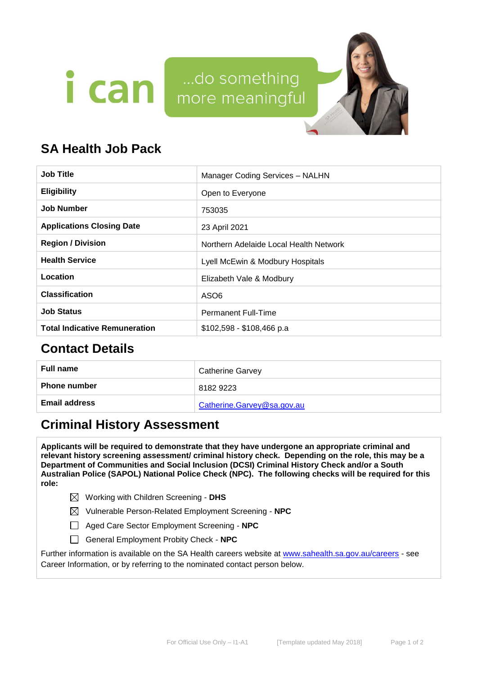



# **SA Health Job Pack**

| <b>Job Title</b>                     | Manager Coding Services - NALHN        |  |  |
|--------------------------------------|----------------------------------------|--|--|
| <b>Eligibility</b>                   | Open to Everyone                       |  |  |
| <b>Job Number</b>                    | 753035                                 |  |  |
| <b>Applications Closing Date</b>     | 23 April 2021                          |  |  |
| <b>Region / Division</b>             | Northern Adelaide Local Health Network |  |  |
| <b>Health Service</b>                | Lyell McEwin & Modbury Hospitals       |  |  |
| Location                             | Elizabeth Vale & Modbury               |  |  |
| <b>Classification</b>                | ASO <sub>6</sub>                       |  |  |
| <b>Job Status</b>                    | <b>Permanent Full-Time</b>             |  |  |
| <b>Total Indicative Remuneration</b> | \$102,598 - \$108,466 p.a              |  |  |

# **Contact Details**

| <b>Full name</b>     | <b>Catherine Garvey</b>    |
|----------------------|----------------------------|
| <b>Phone number</b>  | 8182 9223                  |
| <b>Email address</b> | Catherine.Garvey@sa.gov.au |

# **Criminal History Assessment**

**Applicants will be required to demonstrate that they have undergone an appropriate criminal and relevant history screening assessment/ criminal history check. Depending on the role, this may be a Department of Communities and Social Inclusion (DCSI) Criminal History Check and/or a South Australian Police (SAPOL) National Police Check (NPC). The following checks will be required for this role:**

- Working with Children Screening **DHS**
- Vulnerable Person-Related Employment Screening **NPC**
- Aged Care Sector Employment Screening **NPC**
- General Employment Probity Check **NPC**

Further information is available on the SA Health careers website at [www.sahealth.sa.gov.au/careers](http://www.sahealth.sa.gov.au/careers) - see Career Information, or by referring to the nominated contact person below.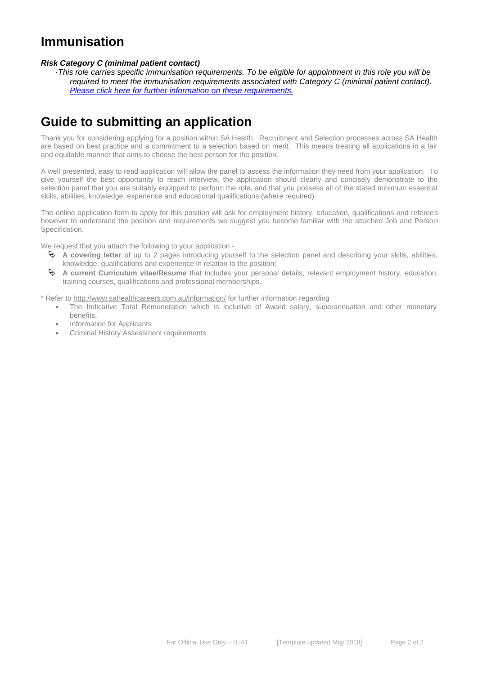# **Immunisation**

### *Risk Category C (minimal patient contact)*

·*This role carries specific immunisation requirements. To be eligible for appointment in this role you will be required to meet the immunisation requirements associated with Category C (minimal patient contact). [Please click here for further information on these requirements.](https://www.sahealth.sa.gov.au/wps/wcm/connect/public+content/sa+health+internet/clinical+resources/clinical+programs+and+practice+guidelines/immunisation+for+health+professionals/health+care+worker+immunisation+requirements)*

# **Guide to submitting an application**

Thank you for considering applying for a position within SA Health. Recruitment and Selection processes across SA Health are based on best practice and a commitment to a selection based on merit. This means treating all applications in a fair and equitable manner that aims to choose the best person for the position.

A well presented, easy to read application will allow the panel to assess the information they need from your application. To give yourself the best opportunity to reach interview, the application should clearly and concisely demonstrate to the selection panel that you are suitably equipped to perform the role, and that you possess all of the stated minimum essential skills, abilities, knowledge, experience and educational qualifications (where required).

The online application form to apply for this position will ask for employment history, education, qualifications and referees however to understand the position and requirements we suggest you become familiar with the attached Job and Person Specification.

We request that you attach the following to your application -

- **A covering letter** of up to 2 pages introducing yourself to the selection panel and describing your skills, abilities, knowledge, qualifications and experience in relation to the position;
- **A current Curriculum vitae/Resume** that includes your personal details, relevant employment history, education, training courses, qualifications and professional memberships.

\* Refer to http://www.sahealthcareers.com.au/information/ for further information regarding

- The Indicative Total Remuneration which is inclusive of Award salary, superannuation and other monetary benefits.
- Information for Applicants
- Criminal History Assessment requirements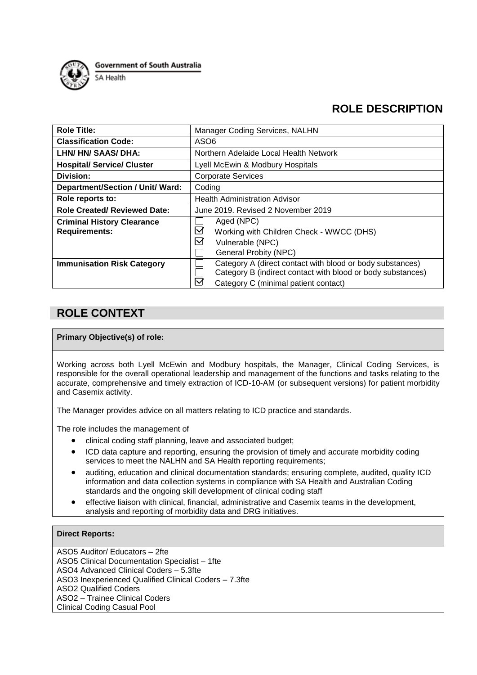

**Government of South Australia** 

SA Health

## **ROLE DESCRIPTION**

| <b>Role Title:</b>                                        | Manager Coding Services, NALHN                                                                                                                                                            |  |  |
|-----------------------------------------------------------|-------------------------------------------------------------------------------------------------------------------------------------------------------------------------------------------|--|--|
| <b>Classification Code:</b>                               | ASO <sub>6</sub>                                                                                                                                                                          |  |  |
| LHN/HN/SAAS/DHA:                                          | Northern Adelaide Local Health Network                                                                                                                                                    |  |  |
| <b>Hospital/ Service/ Cluster</b>                         | Lyell McEwin & Modbury Hospitals                                                                                                                                                          |  |  |
| Division:                                                 | <b>Corporate Services</b>                                                                                                                                                                 |  |  |
| <b>Department/Section / Unit/ Ward:</b>                   | Coding                                                                                                                                                                                    |  |  |
| Role reports to:                                          | <b>Health Administration Advisor</b>                                                                                                                                                      |  |  |
| <b>Role Created/ Reviewed Date:</b>                       | June 2019. Revised 2 November 2019                                                                                                                                                        |  |  |
| <b>Criminal History Clearance</b><br><b>Requirements:</b> | Aged (NPC)<br>$\boxdot$<br>Working with Children Check - WWCC (DHS)<br>$\boxtimes$<br>Vulnerable (NPC)<br><b>General Probity (NPC)</b>                                                    |  |  |
| <b>Immunisation Risk Category</b>                         | Category A (direct contact with blood or body substances)<br>Category B (indirect contact with blood or body substances)<br>$\boldsymbol{\nabla}$<br>Category C (minimal patient contact) |  |  |

## **ROLE CONTEXT**

## **Primary Objective(s) of role:**

Working across both Lyell McEwin and Modbury hospitals, the Manager, Clinical Coding Services, is responsible for the overall operational leadership and management of the functions and tasks relating to the accurate, comprehensive and timely extraction of ICD-10-AM (or subsequent versions) for patient morbidity and Casemix activity.

The Manager provides advice on all matters relating to ICD practice and standards.

The role includes the management of

- clinical coding staff planning, leave and associated budget;
- ICD data capture and reporting, ensuring the provision of timely and accurate morbidity coding services to meet the NALHN and SA Health reporting requirements;
- auditing, education and clinical documentation standards; ensuring complete, audited, quality ICD information and data collection systems in compliance with SA Health and Australian Coding standards and the ongoing skill development of clinical coding staff
- effective liaison with clinical, financial, administrative and Casemix teams in the development, analysis and reporting of morbidity data and DRG initiatives.

## **Direct Reports:**

ASO5 Auditor/ Educators – 2fte ASO5 Clinical Documentation Specialist – 1fte ASO4 Advanced Clinical Coders – 5.3fte ASO3 Inexperienced Qualified Clinical Coders – 7.3fte ASO2 Qualified Coders ASO2 – Trainee Clinical Coders Clinical Coding Casual Pool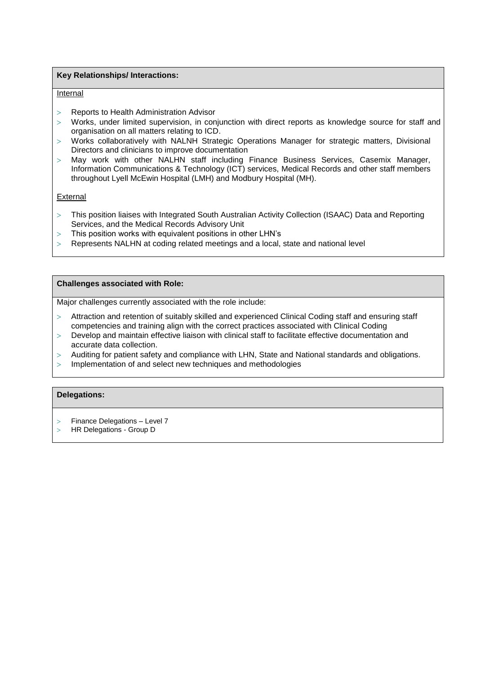### **Key Relationships/ Interactions:**

#### Internal

- Reports to Health Administration Advisor
- $>$  Works, under limited supervision, in conjunction with direct reports as knowledge source for staff and organisation on all matters relating to ICD.
- > Works collaboratively with NALNH Strategic Operations Manager for strategic matters, Divisional Directors and clinicians to improve documentation
- May work with other NALHN staff including Finance Business Services, Casemix Manager, Information Communications & Technology (ICT) services, Medical Records and other staff members throughout Lyell McEwin Hospital (LMH) and Modbury Hospital (MH).

#### **External**

- This position liaises with Integrated South Australian Activity Collection (ISAAC) Data and Reporting Services, and the Medical Records Advisory Unit
- $>$  This position works with equivalent positions in other LHN's
- Represents NALHN at coding related meetings and a local, state and national level

### **Challenges associated with Role:**

Major challenges currently associated with the role include:

- Attraction and retention of suitably skilled and experienced Clinical Coding staff and ensuring staff competencies and training align with the correct practices associated with Clinical Coding
- Develop and maintain effective liaison with clinical staff to facilitate effective documentation and accurate data collection.
- Auditing for patient safety and compliance with LHN, State and National standards and obligations.
- Implementation of and select new techniques and methodologies

#### **Delegations:**

- Finance Delegations Level 7
- HR Delegations Group D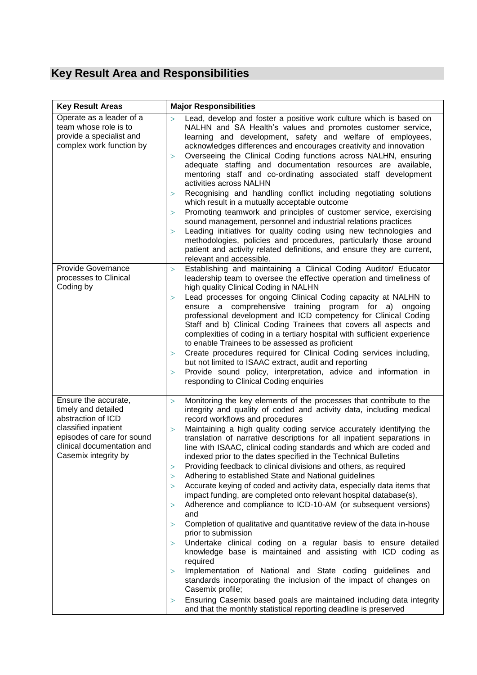# **Key Result Area and Responsibilities**

| <b>Key Result Areas</b>                                                                                                                                                       | <b>Major Responsibilities</b>                                                                                                                                                                                                                                                                                                                                                                                                                                                                                                                                                                                                                                                                                                                                                                                                                                                                                                                                                                                                                                                                                                                                                                                                                                                                                                                                                                                                                                                           |  |  |
|-------------------------------------------------------------------------------------------------------------------------------------------------------------------------------|-----------------------------------------------------------------------------------------------------------------------------------------------------------------------------------------------------------------------------------------------------------------------------------------------------------------------------------------------------------------------------------------------------------------------------------------------------------------------------------------------------------------------------------------------------------------------------------------------------------------------------------------------------------------------------------------------------------------------------------------------------------------------------------------------------------------------------------------------------------------------------------------------------------------------------------------------------------------------------------------------------------------------------------------------------------------------------------------------------------------------------------------------------------------------------------------------------------------------------------------------------------------------------------------------------------------------------------------------------------------------------------------------------------------------------------------------------------------------------------------|--|--|
| Operate as a leader of a<br>team whose role is to<br>provide a specialist and<br>complex work function by                                                                     | Lead, develop and foster a positive work culture which is based on<br>$\geq$<br>NALHN and SA Health's values and promotes customer service,<br>learning and development, safety and welfare of employees,<br>acknowledges differences and encourages creativity and innovation<br>Overseeing the Clinical Coding functions across NALHN, ensuring<br>$\geq$<br>adequate staffing and documentation resources are available,<br>mentoring staff and co-ordinating associated staff development<br>activities across NALHN<br>Recognising and handling conflict including negotiating solutions<br>$\rm{>}$<br>which result in a mutually acceptable outcome<br>Promoting teamwork and principles of customer service, exercising<br>$\geq$<br>sound management, personnel and industrial relations practices<br>Leading initiatives for quality coding using new technologies and<br>$\geq$<br>methodologies, policies and procedures, particularly those around<br>patient and activity related definitions, and ensure they are current,<br>relevant and accessible.                                                                                                                                                                                                                                                                                                                                                                                                                   |  |  |
| <b>Provide Governance</b><br>processes to Clinical<br>Coding by                                                                                                               | Establishing and maintaining a Clinical Coding Auditor/ Educator<br>$\rm{>}$<br>leadership team to oversee the effective operation and timeliness of<br>high quality Clinical Coding in NALHN<br>Lead processes for ongoing Clinical Coding capacity at NALHN to<br>$\geq$<br>ensure a comprehensive training program for a) ongoing<br>professional development and ICD competency for Clinical Coding<br>Staff and b) Clinical Coding Trainees that covers all aspects and<br>complexities of coding in a tertiary hospital with sufficient experience<br>to enable Trainees to be assessed as proficient<br>Create procedures required for Clinical Coding services including,<br>$\rm{>}$<br>but not limited to ISAAC extract, audit and reporting<br>Provide sound policy, interpretation, advice and information in<br>$\rm{>}$<br>responding to Clinical Coding enquiries                                                                                                                                                                                                                                                                                                                                                                                                                                                                                                                                                                                                        |  |  |
| Ensure the accurate,<br>timely and detailed<br>abstraction of ICD<br>classified inpatient<br>episodes of care for sound<br>clinical documentation and<br>Casemix integrity by | Monitoring the key elements of the processes that contribute to the<br>$\geq$<br>integrity and quality of coded and activity data, including medical<br>record workflows and procedures<br>Maintaining a high quality coding service accurately identifying the<br>$\geq$<br>translation of narrative descriptions for all inpatient separations in<br>line with ISAAC, clinical coding standards and which are coded and<br>indexed prior to the dates specified in the Technical Bulletins<br>Providing feedback to clinical divisions and others, as required<br>$\geq$<br>Adhering to established State and National guidelines<br>$\geq$<br>Accurate keying of coded and activity data, especially data items that<br>$\geq$<br>impact funding, are completed onto relevant hospital database(s),<br>Adherence and compliance to ICD-10-AM (or subsequent versions)<br>$\geq$<br>and<br>Completion of qualitative and quantitative review of the data in-house<br>$\geq$<br>prior to submission<br>Undertake clinical coding on a regular basis to ensure detailed<br>$\geq$<br>knowledge base is maintained and assisting with ICD coding as<br>required<br>Implementation of National and State coding guidelines and<br>$\geq$<br>standards incorporating the inclusion of the impact of changes on<br>Casemix profile;<br>Ensuring Casemix based goals are maintained including data integrity<br>$\rm{>}$<br>and that the monthly statistical reporting deadline is preserved |  |  |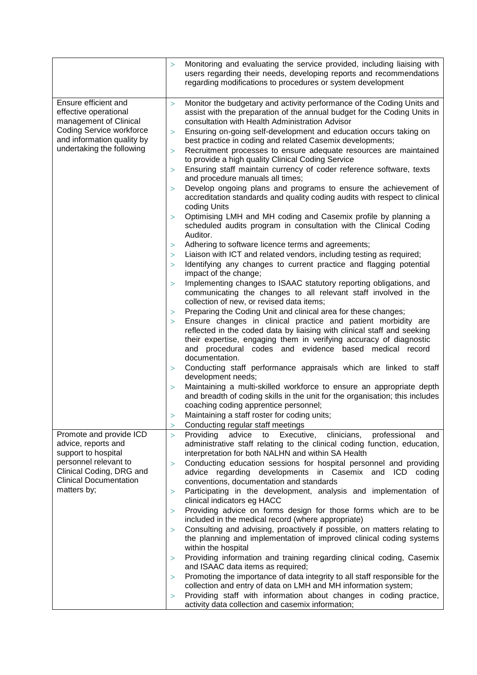|                                                               | $\geq$           | Monitoring and evaluating the service provided, including liaising with<br>users regarding their needs, developing reports and recommendations<br>regarding modifications to procedures or system development |
|---------------------------------------------------------------|------------------|---------------------------------------------------------------------------------------------------------------------------------------------------------------------------------------------------------------|
| Ensure efficient and                                          | $\geq$           | Monitor the budgetary and activity performance of the Coding Units and                                                                                                                                        |
| effective operational                                         |                  | assist with the preparation of the annual budget for the Coding Units in                                                                                                                                      |
| management of Clinical                                        |                  | consultation with Health Administration Advisor                                                                                                                                                               |
| <b>Coding Service workforce</b><br>and information quality by | $\rm{>}$         | Ensuring on-going self-development and education occurs taking on                                                                                                                                             |
| undertaking the following                                     | $\rm{>}$         | best practice in coding and related Casemix developments;<br>Recruitment processes to ensure adequate resources are maintained                                                                                |
|                                                               |                  | to provide a high quality Clinical Coding Service                                                                                                                                                             |
|                                                               | $\geq$           | Ensuring staff maintain currency of coder reference software, texts                                                                                                                                           |
|                                                               |                  | and procedure manuals all times;                                                                                                                                                                              |
|                                                               | $\geq$           | Develop ongoing plans and programs to ensure the achievement of<br>accreditation standards and quality coding audits with respect to clinical                                                                 |
|                                                               |                  | coding Units                                                                                                                                                                                                  |
|                                                               | $\geq$           | Optimising LMH and MH coding and Casemix profile by planning a                                                                                                                                                |
|                                                               |                  | scheduled audits program in consultation with the Clinical Coding<br>Auditor.                                                                                                                                 |
|                                                               | $\geq$           | Adhering to software licence terms and agreements;                                                                                                                                                            |
|                                                               | $\geq$           | Liaison with ICT and related vendors, including testing as required;                                                                                                                                          |
|                                                               | $\geq$           | Identifying any changes to current practice and flagging potential<br>impact of the change;                                                                                                                   |
|                                                               | $\geq$           | Implementing changes to ISAAC statutory reporting obligations, and                                                                                                                                            |
|                                                               |                  | communicating the changes to all relevant staff involved in the                                                                                                                                               |
|                                                               |                  | collection of new, or revised data items;                                                                                                                                                                     |
|                                                               | $\geq$           | Preparing the Coding Unit and clinical area for these changes;                                                                                                                                                |
|                                                               | $\geq$           | Ensure changes in clinical practice and patient morbidity are                                                                                                                                                 |
|                                                               |                  | reflected in the coded data by liaising with clinical staff and seeking                                                                                                                                       |
|                                                               |                  | their expertise, engaging them in verifying accuracy of diagnostic<br>and procedural codes and evidence based medical record                                                                                  |
|                                                               |                  | documentation.                                                                                                                                                                                                |
|                                                               | $\geq$           | Conducting staff performance appraisals which are linked to staff                                                                                                                                             |
|                                                               |                  | development needs;                                                                                                                                                                                            |
|                                                               | $\geq$           | Maintaining a multi-skilled workforce to ensure an appropriate depth                                                                                                                                          |
|                                                               |                  | and breadth of coding skills in the unit for the organisation; this includes                                                                                                                                  |
|                                                               |                  | coaching coding apprentice personnel;                                                                                                                                                                         |
|                                                               | >                | Maintaining a staff roster for coding units;                                                                                                                                                                  |
| Promote and provide ICD                                       | $\geq$<br>$\geq$ | Conducting regular staff meetings<br>Providing<br>advice to<br>Executive,<br>clinicians,<br>professional<br>and                                                                                               |
| advice, reports and                                           |                  | administrative staff relating to the clinical coding function, education,                                                                                                                                     |
| support to hospital                                           |                  | interpretation for both NALHN and within SA Health                                                                                                                                                            |
| personnel relevant to                                         | $\geq$           | Conducting education sessions for hospital personnel and providing                                                                                                                                            |
| Clinical Coding, DRG and                                      |                  | advice regarding developments in Casemix and ICD coding                                                                                                                                                       |
| <b>Clinical Documentation</b>                                 |                  | conventions, documentation and standards                                                                                                                                                                      |
| matters by;                                                   | $\rm{>}$         | Participating in the development, analysis and implementation of                                                                                                                                              |
|                                                               | $\rm{>}$         | clinical indicators eg HACC<br>Providing advice on forms design for those forms which are to be                                                                                                               |
|                                                               |                  | included in the medical record (where appropriate)                                                                                                                                                            |
|                                                               | $\geq$           | Consulting and advising, proactively if possible, on matters relating to                                                                                                                                      |
|                                                               |                  | the planning and implementation of improved clinical coding systems                                                                                                                                           |
|                                                               |                  | within the hospital                                                                                                                                                                                           |
|                                                               | $\rm{>}$         | Providing information and training regarding clinical coding, Casemix                                                                                                                                         |
|                                                               |                  | and ISAAC data items as required;                                                                                                                                                                             |
|                                                               | $\, > \,$        | Promoting the importance of data integrity to all staff responsible for the<br>collection and entry of data on LMH and MH information system;                                                                 |
|                                                               | $\rm{>}$         | Providing staff with information about changes in coding practice,                                                                                                                                            |
|                                                               |                  | activity data collection and casemix information;                                                                                                                                                             |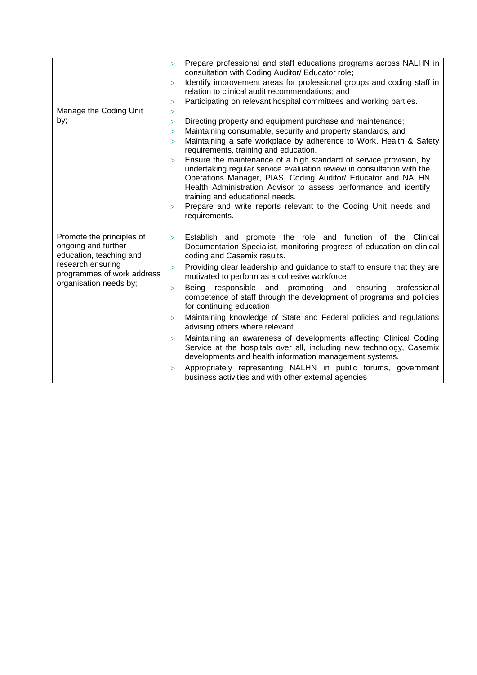|                                                                                                                                                          | $\geq$<br>$\geq$<br>$\geq$ | Prepare professional and staff educations programs across NALHN in<br>consultation with Coding Auditor/ Educator role;<br>Identify improvement areas for professional groups and coding staff in<br>relation to clinical audit recommendations; and<br>Participating on relevant hospital committees and working parties.                                                                               |
|----------------------------------------------------------------------------------------------------------------------------------------------------------|----------------------------|---------------------------------------------------------------------------------------------------------------------------------------------------------------------------------------------------------------------------------------------------------------------------------------------------------------------------------------------------------------------------------------------------------|
| Manage the Coding Unit                                                                                                                                   | $\geq$                     |                                                                                                                                                                                                                                                                                                                                                                                                         |
| by;                                                                                                                                                      | $\geq$                     | Directing property and equipment purchase and maintenance;                                                                                                                                                                                                                                                                                                                                              |
|                                                                                                                                                          | $\geq$                     | Maintaining consumable, security and property standards, and                                                                                                                                                                                                                                                                                                                                            |
|                                                                                                                                                          | $\geq$                     | Maintaining a safe workplace by adherence to Work, Health & Safety<br>requirements, training and education.                                                                                                                                                                                                                                                                                             |
|                                                                                                                                                          | $\geq$<br>$\geq$           | Ensure the maintenance of a high standard of service provision, by<br>undertaking regular service evaluation review in consultation with the<br>Operations Manager, PIAS, Coding Auditor/ Educator and NALHN<br>Health Administration Advisor to assess performance and identify<br>training and educational needs.<br>Prepare and write reports relevant to the Coding Unit needs and<br>requirements. |
| Promote the principles of<br>ongoing and further<br>education, teaching and<br>research ensuring<br>programmes of work address<br>organisation needs by; | $\geq$                     | Establish and promote the role and function of the Clinical<br>Documentation Specialist, monitoring progress of education on clinical<br>coding and Casemix results.                                                                                                                                                                                                                                    |
|                                                                                                                                                          | $\geq$                     | Providing clear leadership and guidance to staff to ensure that they are<br>motivated to perform as a cohesive workforce                                                                                                                                                                                                                                                                                |
|                                                                                                                                                          | $\geq$                     | Beina<br>responsible and promoting and ensuring<br>professional<br>competence of staff through the development of programs and policies<br>for continuing education                                                                                                                                                                                                                                     |
|                                                                                                                                                          | $\geq$                     | Maintaining knowledge of State and Federal policies and regulations<br>advising others where relevant                                                                                                                                                                                                                                                                                                   |
|                                                                                                                                                          | $\geq$                     | Maintaining an awareness of developments affecting Clinical Coding<br>Service at the hospitals over all, including new technology, Casemix<br>developments and health information management systems.                                                                                                                                                                                                   |
|                                                                                                                                                          | $\geq$                     | Appropriately representing NALHN in public forums, government<br>business activities and with other external agencies                                                                                                                                                                                                                                                                                   |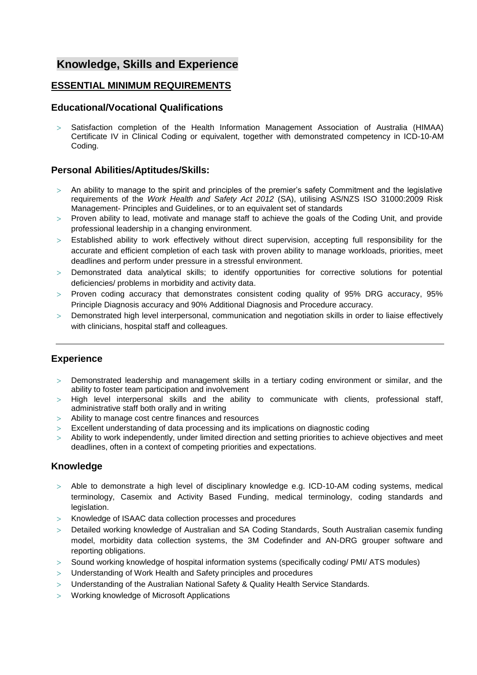## **Knowledge, Skills and Experience**

## **ESSENTIAL MINIMUM REQUIREMENTS**

## **Educational/Vocational Qualifications**

 Satisfaction completion of the Health Information Management Association of Australia (HIMAA) Certificate IV in Clinical Coding or equivalent, together with demonstrated competency in ICD-10-AM Coding.

## **Personal Abilities/Aptitudes/Skills:**

- $>$  An ability to manage to the spirit and principles of the premier's safety Commitment and the legislative requirements of the *Work Health and Safety Act 2012* (SA), utilising AS/NZS ISO 31000:2009 Risk Management- Principles and Guidelines, or to an equivalent set of standards
- Proven ability to lead, motivate and manage staff to achieve the goals of the Coding Unit, and provide professional leadership in a changing environment.
- Established ability to work effectively without direct supervision, accepting full responsibility for the accurate and efficient completion of each task with proven ability to manage workloads, priorities, meet deadlines and perform under pressure in a stressful environment.
- Demonstrated data analytical skills; to identify opportunities for corrective solutions for potential deficiencies/ problems in morbidity and activity data.
- $>$  Proven coding accuracy that demonstrates consistent coding quality of 95% DRG accuracy, 95% Principle Diagnosis accuracy and 90% Additional Diagnosis and Procedure accuracy.
- Demonstrated high level interpersonal, communication and negotiation skills in order to liaise effectively with clinicians, hospital staff and colleagues.

## **Experience**

- Demonstrated leadership and management skills in a tertiary coding environment or similar, and the ability to foster team participation and involvement
- > High level interpersonal skills and the ability to communicate with clients, professional staff, administrative staff both orally and in writing
- Ability to manage cost centre finances and resources
- Excellent understanding of data processing and its implications on diagnostic coding
- Ability to work independently, under limited direction and setting priorities to achieve objectives and meet deadlines, often in a context of competing priorities and expectations.

## **Knowledge**

- Able to demonstrate a high level of disciplinary knowledge e.g. ICD-10-AM coding systems, medical terminology, Casemix and Activity Based Funding, medical terminology, coding standards and legislation.
- Knowledge of ISAAC data collection processes and procedures
- Detailed working knowledge of Australian and SA Coding Standards, South Australian casemix funding model, morbidity data collection systems, the 3M Codefinder and AN-DRG grouper software and reporting obligations.
- Sound working knowledge of hospital information systems (specifically coding/ PMI/ ATS modules)
- Understanding of Work Health and Safety principles and procedures
- Understanding of the Australian National Safety & Quality Health Service Standards.
- Working knowledge of Microsoft Applications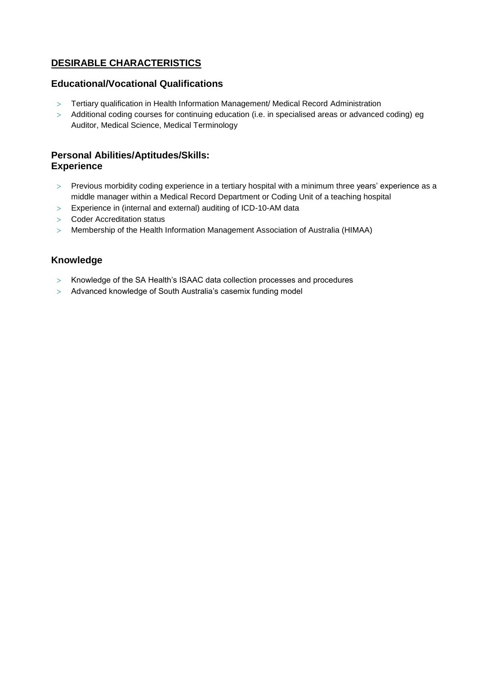## **DESIRABLE CHARACTERISTICS**

## **Educational/Vocational Qualifications**

- Tertiary qualification in Health Information Management/ Medical Record Administration
- > Additional coding courses for continuing education (i.e. in specialised areas or advanced coding) eg Auditor, Medical Science, Medical Terminology

## **Personal Abilities/Aptitudes/Skills: Experience**

- Previous morbidity coding experience in a tertiary hospital with a minimum three years' experience as a middle manager within a Medical Record Department or Coding Unit of a teaching hospital
- Experience in (internal and external) auditing of ICD-10-AM data
- Coder Accreditation status
- Membership of the Health Information Management Association of Australia (HIMAA)

## **Knowledge**

- > Knowledge of the SA Health's ISAAC data collection processes and procedures
- Advanced knowledge of South Australia's casemix funding model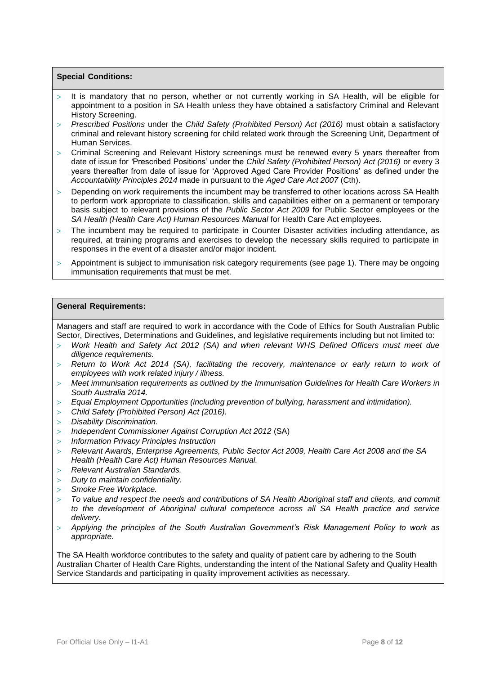### **Special Conditions:**

- It is mandatory that no person, whether or not currently working in SA Health, will be eligible for appointment to a position in SA Health unless they have obtained a satisfactory Criminal and Relevant History Screening.
- *Prescribed Positions* under the *Child Safety (Prohibited Person) Act (2016)* must obtain a satisfactory criminal and relevant history screening for child related work through the Screening Unit, Department of Human Services.
- Criminal Screening and Relevant History screenings must be renewed every 5 years thereafter from date of issue for *'*Prescribed Positions' under the *Child Safety (Prohibited Person) Act (2016)* or every 3 years thereafter from date of issue for 'Approved Aged Care Provider Positions' as defined under the *Accountability Principles 2014* made in pursuant to the *Aged Care Act 2007* (Cth).
- Depending on work requirements the incumbent may be transferred to other locations across SA Health to perform work appropriate to classification, skills and capabilities either on a permanent or temporary basis subject to relevant provisions of the *Public Sector Act 2009* for Public Sector employees or the *SA Health (Health Care Act) Human Resources Manual* for Health Care Act employees.
- The incumbent may be required to participate in Counter Disaster activities including attendance, as required, at training programs and exercises to develop the necessary skills required to participate in responses in the event of a disaster and/or major incident.
- Appointment is subject to immunisation risk category requirements (see page 1). There may be ongoing immunisation requirements that must be met.

#### **General Requirements:**

Managers and staff are required to work in accordance with the Code of Ethics for South Australian Public Sector, Directives, Determinations and Guidelines, and legislative requirements including but not limited to:

- *Work Health and Safety Act 2012 (SA) and when relevant WHS Defined Officers must meet due diligence requirements.*
- *Return to Work Act 2014 (SA), facilitating the recovery, maintenance or early return to work of employees with work related injury / illness.*
- *Meet immunisation requirements as outlined by the Immunisation Guidelines for Health Care Workers in South Australia 2014.*
- *Equal Employment Opportunities (including prevention of bullying, harassment and intimidation).*
- *Child Safety (Prohibited Person) Act (2016).*
- *Disability Discrimination.*
- *Independent Commissioner Against Corruption Act 2012* (SA)
- *Information Privacy Principles Instruction*
- *Relevant Awards, Enterprise Agreements, Public Sector Act 2009, Health Care Act 2008 and the SA Health (Health Care Act) Human Resources Manual.*
- *Relevant Australian Standards.*
- *Duty to maintain confidentiality.*
- *Smoke Free Workplace.*
- *To value and respect the needs and contributions of SA Health Aboriginal staff and clients, and commit to the development of Aboriginal cultural competence across all SA Health practice and service delivery.*
- *Applying the principles of the South Australian Government's Risk Management Policy to work as appropriate.*

The SA Health workforce contributes to the safety and quality of patient care by adhering to the South Australian Charter of Health Care Rights, understanding the intent of the National Safety and Quality Health Service Standards and participating in quality improvement activities as necessary.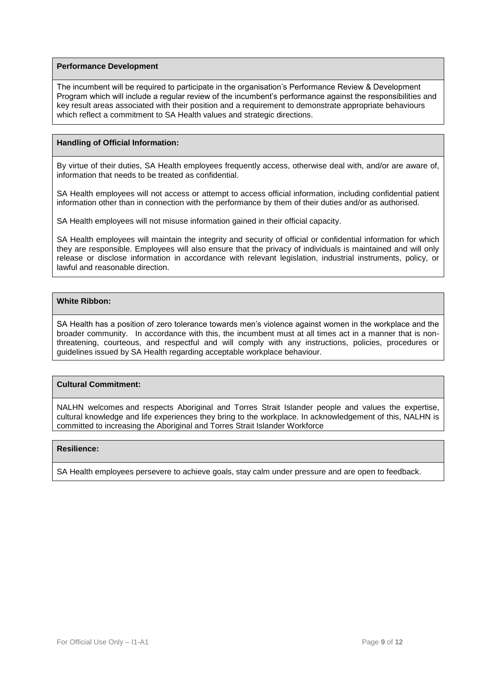#### **Performance Development**

The incumbent will be required to participate in the organisation's Performance Review & Development Program which will include a regular review of the incumbent's performance against the responsibilities and key result areas associated with their position and a requirement to demonstrate appropriate behaviours which reflect a commitment to SA Health values and strategic directions.

## **Handling of Official Information:**

By virtue of their duties, SA Health employees frequently access, otherwise deal with, and/or are aware of, information that needs to be treated as confidential.

SA Health employees will not access or attempt to access official information, including confidential patient information other than in connection with the performance by them of their duties and/or as authorised.

SA Health employees will not misuse information gained in their official capacity.

SA Health employees will maintain the integrity and security of official or confidential information for which they are responsible. Employees will also ensure that the privacy of individuals is maintained and will only release or disclose information in accordance with relevant legislation, industrial instruments, policy, or lawful and reasonable direction.

### **White Ribbon:**

SA Health has a position of zero tolerance towards men's violence against women in the workplace and the broader community. In accordance with this, the incumbent must at all times act in a manner that is nonthreatening, courteous, and respectful and will comply with any instructions, policies, procedures or guidelines issued by SA Health regarding acceptable workplace behaviour.

## **Cultural Commitment:**

NALHN welcomes and respects Aboriginal and Torres Strait Islander people and values the expertise, cultural knowledge and life experiences they bring to the workplace. In acknowledgement of this, NALHN is committed to increasing the Aboriginal and Torres Strait Islander Workforce

#### **Resilience:**

SA Health employees persevere to achieve goals, stay calm under pressure and are open to feedback.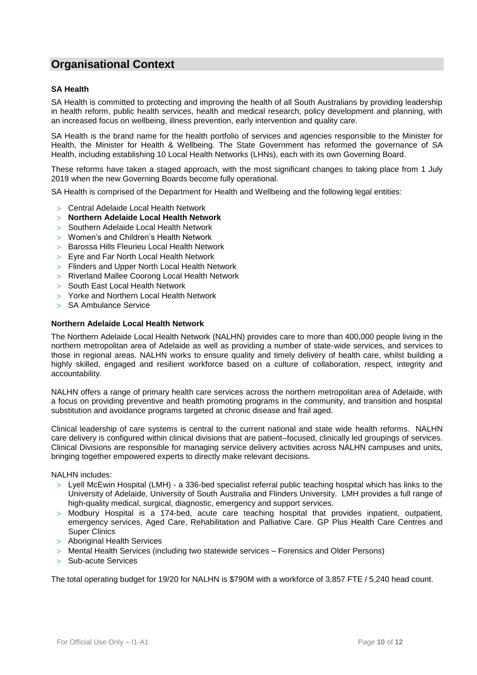## **Organisational Context**

### **SA Health**

SA Health is committed to protecting and improving the health of all South Australians by providing leadership in health reform, public health services, health and medical research, policy development and planning, with an increased focus on wellbeing, illness prevention, early intervention and quality care.

SA Health is the brand name for the health portfolio of services and agencies responsible to the Minister for Health, the Minister for Health & Wellbeing. The State Government has reformed the governance of SA Health, including establishing 10 Local Health Networks (LHNs), each with its own Governing Board.

These reforms have taken a staged approach, with the most significant changes to taking place from 1 July 2019 when the new Governing Boards become fully operational.

SA Health is comprised of the Department for Health and Wellbeing and the following legal entities:

- Central Adelaide Local Health Network
- **Northern Adelaide Local Health Network**
- > Southern Adelaide Local Health Network
- Women's and Children's Health Network
- > Barossa Hills Fleurieu Local Health Network
- Eyre and Far North Local Health Network
- Flinders and Upper North Local Health Network
- Riverland Mallee Coorong Local Health Network
- > South East Local Health Network
- Yorke and Northern Local Health Network
- > SA Ambulance Service

#### **Northern Adelaide Local Health Network**

The Northern Adelaide Local Health Network (NALHN) provides care to more than 400,000 people living in the northern metropolitan area of Adelaide as well as providing a number of state-wide services, and services to those in regional areas. NALHN works to ensure quality and timely delivery of health care, whilst building a highly skilled, engaged and resilient workforce based on a culture of collaboration, respect, integrity and accountability.

NALHN offers a range of primary health care services across the northern metropolitan area of Adelaide, with a focus on providing preventive and health promoting programs in the community, and transition and hospital substitution and avoidance programs targeted at chronic disease and frail aged.

Clinical leadership of care systems is central to the current national and state wide health reforms. NALHN care delivery is configured within clinical divisions that are patient–focused, clinically led groupings of services. Clinical Divisions are responsible for managing service delivery activities across NALHN campuses and units, bringing together empowered experts to directly make relevant decisions.

NALHN includes:

- [Lyell McEwin Hospital](https://www.sahealth.sa.gov.au/wps/wcm/connect/public+content/sa+health+internet/health+services/hospitals+and+health+services+metropolitan+adelaide/lyell+mcewin+hospital) (LMH) a 336-bed specialist referral public teaching hospital which has links to the University of Adelaide, University of South Australia and Flinders University. LMH provides a full range of high-quality medical, surgical, diagnostic, emergency and support services.
- > [Modbury Hospital](https://www.sahealth.sa.gov.au/wps/wcm/connect/public+content/sa+health+internet/health+services/hospitals+and+health+services+metropolitan+adelaide/modbury+hospital) is a 174-bed, acute care teaching hospital that provides inpatient, outpatient, emergency services, Aged Care, Rehabilitation and Palliative Care. [GP Plus Health Care Centres and](https://www.sahealth.sa.gov.au/wps/wcm/connect/public+content/sa+health+internet/health+services/gp+plus+health+care+services+and+centres)  [Super Clinics](https://www.sahealth.sa.gov.au/wps/wcm/connect/public+content/sa+health+internet/health+services/gp+plus+health+care+services+and+centres)
- Aboriginal Health Services
- Mental Health Services (including two statewide services Forensics and Older Persons)
- $>$  Sub-acute Services

The total operating budget for 19/20 for NALHN is \$790M with a workforce of 3,857 FTE / 5,240 head count.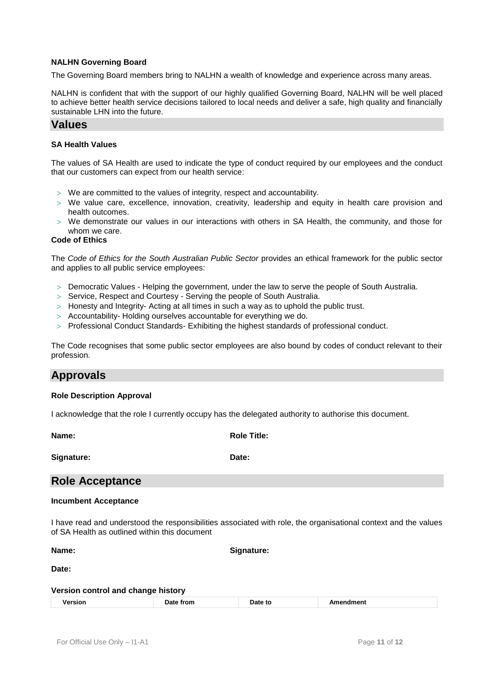### **NALHN Governing Board**

The Governing Board members bring to NALHN a wealth of knowledge and experience across many areas.

NALHN is confident that with the support of our highly qualified Governing Board, NALHN will be well placed to achieve better health service decisions tailored to local needs and deliver a safe, high quality and financially sustainable LHN into the future.

## **Values**

### **SA Health Values**

The values of SA Health are used to indicate the type of conduct required by our employees and the conduct that our customers can expect from our health service:

- $>$  We are committed to the values of integrity, respect and accountability.
- $>$  We value care, excellence, innovation, creativity, leadership and equity in health care provision and health outcomes.
- We demonstrate our values in our interactions with others in SA Health, the community, and those for whom we care.

#### **Code of Ethics**

The *Code of Ethics for the South Australian Public Sector* provides an ethical framework for the public sector and applies to all public service employees:

- Democratic Values Helping the government, under the law to serve the people of South Australia.
- $>$  Service, Respect and Courtesy Serving the people of South Australia.
- $>$  Honesty and Integrity- Acting at all times in such a way as to uphold the public trust.
- Accountability- Holding ourselves accountable for everything we do.
- $>$  Professional Conduct Standards- Exhibiting the highest standards of professional conduct.

The Code recognises that some public sector employees are also bound by codes of conduct relevant to their profession.

## **Approvals**

#### **Role Description Approval**

I acknowledge that the role I currently occupy has the delegated authority to authorise this document.

**Name: Role Title:**

**Signature: Date:**

## **Role Acceptance**

#### **Incumbent Acceptance**

I have read and understood the responsibilities associated with role, the organisational context and the values of SA Health as outlined within this document

**Name: Signature:**

**Date:**

#### **Version control and change history**

| ersion | ≅trom.<br>_______ | Date to | . |
|--------|-------------------|---------|---|
|--------|-------------------|---------|---|